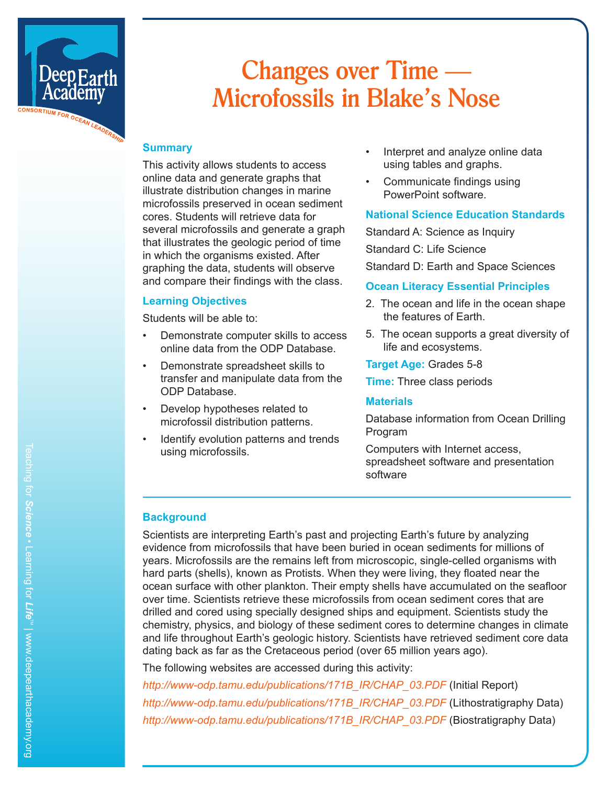

## **Changes over Time — Microfossils in Blake's Nose**

#### **Summary**

This activity allows students to access online data and generate graphs that illustrate distribution changes in marine microfossils preserved in ocean sediment cores. Students will retrieve data for several microfossils and generate a graph that illustrates the geologic period of time in which the organisms existed. After graphing the data, students will observe and compare their findings with the class.

#### **Learning Objectives**

Students will be able to:

- Demonstrate computer skills to access online data from the ODP Database.
- Demonstrate spreadsheet skills to transfer and manipulate data from the ODP Database.
- Develop hypotheses related to microfossil distribution patterns.
- Identify evolution patterns and trends using microfossils.
- Interpret and analyze online data using tables and graphs.
- Communicate findings using PowerPoint software.

#### **National Science Education Standards**

Standard A: Science as Inquiry Standard C: Life Science Standard D: Earth and Space Sciences

#### **Ocean Literacy Essential Principles**

- 2. The ocean and life in the ocean shape the features of Earth.
- 5. The ocean supports a great diversity of life and ecosystems.

**Target Age:** Grades 5-8

**Time:** Three class periods

#### **Materials**

Database information from Ocean Drilling Program

Computers with Internet access, spreadsheet software and presentation software

#### **Background**

Scientists are interpreting Earth's past and projecting Earth's future by analyzing evidence from microfossils that have been buried in ocean sediments for millions of years. Microfossils are the remains left from microscopic, single-celled organisms with hard parts (shells), known as Protists. When they were living, they floated near the ocean surface with other plankton. Their empty shells have accumulated on the seafloor over time. Scientists retrieve these microfossils from ocean sediment cores that are drilled and cored using specially designed ships and equipment. Scientists study the chemistry, physics, and biology of these sediment cores to determine changes in climate and life throughout Earth's geologic history. Scientists have retrieved sediment core data dating back as far as the Cretaceous period (over 65 million years ago).

The following websites are accessed during this activity:

*http://www-odp.tamu.edu/publications/171B\_IR/CHAP\_03.PDF* (Initial Report) *http://www-odp.tamu.edu/publications/171B\_IR/CHAP\_03.PDF* (Lithostratigraphy Data) *http://www-odp.tamu.edu/publications/171B\_IR/CHAP\_03.PDF* (Biostratigraphy Data)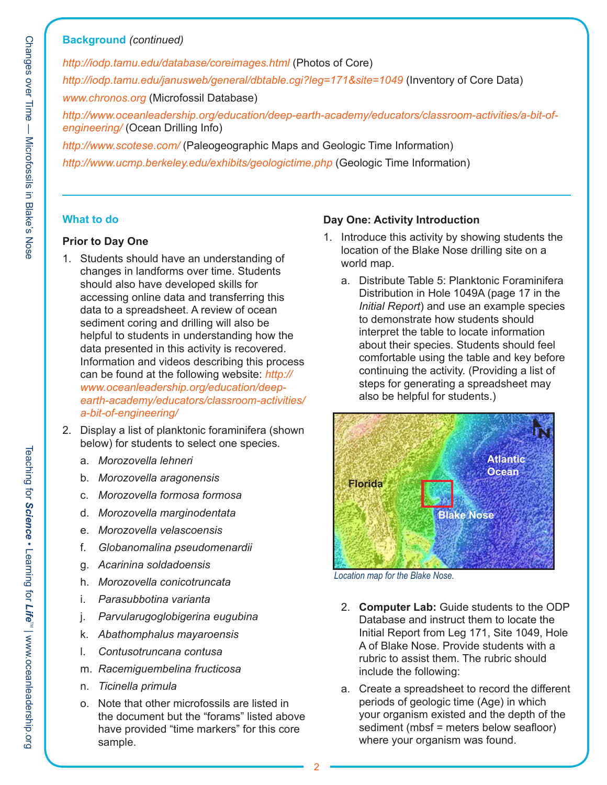#### **Background** *(continued)*

*http://iodp.tamu.edu/database/coreimages.html* (Photos of Core) *http://iodp.tamu.edu/janusweb/general/dbtable.cgi?leg=171&site=1049* (Inventory of Core Data) *www.chronos.org* (Microfossil Database) *http://www.oceanleadership.org/education/deep-earth-academy/educators/classroom-activities/a-bit-ofengineering/* (Ocean Drilling Info)

*http://www.scotese.com/* (Paleogeographic Maps and Geologic Time Information) *http://www.ucmp.berkeley.edu/exhibits/geologictime.php* (Geologic Time Information)

#### **What to do**

#### **Prior to Day One**

- 1. Students should have an understanding of changes in landforms over time. Students should also have developed skills for accessing online data and transferring this data to a spreadsheet. A review of ocean sediment coring and drilling will also be helpful to students in understanding how the data presented in this activity is recovered. Information and videos describing this process can be found at the following website: *http:// www.oceanleadership.org/education/deepearth-academy/educators/classroom-activities/ a-bit-of-engineering/*
- 2. Display a list of planktonic foraminifera (shown below) for students to select one species.
	- a. *Morozovella lehneri*
	- b. *Morozovella aragonensis*
	- c. *Morozovella formosa formosa*
	- d. *Morozovella marginodentata*
	- e. *Morozovella velascoensis*
	- f. *Globanomalina pseudomenardii*
	- g. *Acarinina soldadoensis*
	- h. *Morozovella conicotruncata*
	- i. *Parasubbotina varianta*
	- j. *Parvularugoglobigerina eugubina*
	- k. *Abathomphalus mayaroensis*
	- l. *Contusotruncana contusa*
	- m. *Racemiguembelina fructicosa*
	- n. *Ticinella primula*
	- o. Note that other microfossils are listed in the document but the "forams" listed above have provided "time markers" for this core sample.

#### **Day One: Activity Introduction**

- 1. Introduce this activity by showing students the location of the Blake Nose drilling site on a world map.
	- a. Distribute Table 5: Planktonic Foraminifera Distribution in Hole 1049A (page 17 in the *Initial Report*) and use an example species to demonstrate how students should interpret the table to locate information about their species. Students should feel comfortable using the table and key before continuing the activity. (Providing a list of steps for generating a spreadsheet may also be helpful for students.)



*Location map for the Blake Nose.*

- 2. **Computer Lab:** Guide students to the ODP Database and instruct them to locate the Initial Report from Leg 171, Site 1049, Hole A of Blake Nose. Provide students with a rubric to assist them. The rubric should include the following:
- a. Create a spreadsheet to record the different periods of geologic time (Age) in which your organism existed and the depth of the sediment (mbsf = meters below seafloor) where your organism was found.

Teaching for

*Science*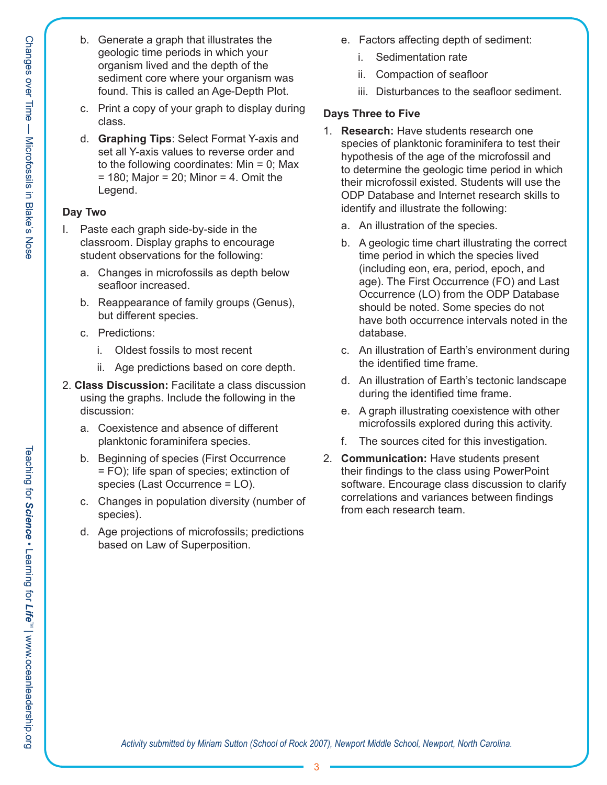- Changes over Time Microfossils in Blake's Nose
- b. Generate a graph that illustrates the geologic time periods in which your organism lived and the depth of the sediment core where your organism was found. This is called an Age-Depth Plot.
- c. Print a copy of your graph to display during class.
- d. **Graphing Tips**: Select Format Y-axis and set all Y-axis values to reverse order and to the following coordinates:  $Min = 0$ ; Max  $= 180$ ; Major  $= 20$ ; Minor  $= 4$ . Omit the Legend.

#### **Day Two**

- I. Paste each graph side-by-side in the classroom. Display graphs to encourage student observations for the following:
	- a. Changes in microfossils as depth below seafloor increased.
	- b. Reappearance of family groups (Genus), but different species.
	- c. Predictions:
		- i. Oldest fossils to most recent
		- ii. Age predictions based on core depth.
- 2. **Class Discussion:** Facilitate a class discussion using the graphs. Include the following in the discussion:
	- a. Coexistence and absence of different planktonic foraminifera species.
	- b. Beginning of species (First Occurrence = FO); life span of species; extinction of species (Last Occurrence = LO).
	- c. Changes in population diversity (number of species).
	- d. Age projections of microfossils; predictions based on Law of Superposition.
- e. Factors affecting depth of sediment:
	- i. Sedimentation rate
	- ii. Compaction of seafloor
	- iii. Disturbances to the seafloor sediment.

### **Days Three to Five**

- 1. **Research:** Have students research one species of planktonic foraminifera to test their hypothesis of the age of the microfossil and to determine the geologic time period in which their microfossil existed. Students will use the ODP Database and Internet research skills to identify and illustrate the following:
	- a. An illustration of the species.
	- b. A geologic time chart illustrating the correct time period in which the species lived (including eon, era, period, epoch, and age). The First Occurrence (FO) and Last Occurrence (LO) from the ODP Database should be noted. Some species do not have both occurrence intervals noted in the database.
	- c. An illustration of Earth's environment during the identified time frame.
	- d. An illustration of Earth's tectonic landscape during the identified time frame.
	- e. A graph illustrating coexistence with other microfossils explored during this activity.
	- f. The sources cited for this investigation.
- 2. **Communication:** Have students present their findings to the class using PowerPoint software. Encourage class discussion to clarify correlations and variances between findings from each research team.

*Activity submitted by Miriam Sutton (School of Rock 2007), Newport Middle School, Newport, North Carolina.*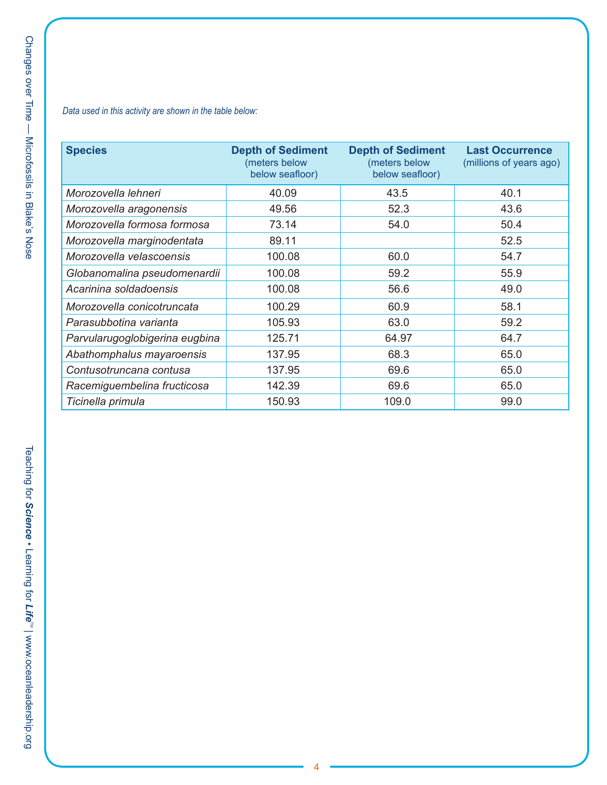#### *Data used in this activity are shown in the table below:*

| <b>Species</b>                 | <b>Depth of Sediment</b><br>(meters below<br>below seafloor) | <b>Depth of Sediment</b><br>(meters below<br>below seafloor) | <b>Last Occurrence</b><br>(millions of years ago) |
|--------------------------------|--------------------------------------------------------------|--------------------------------------------------------------|---------------------------------------------------|
| Morozovella lehneri            | 40.09                                                        | 43.5                                                         | 40.1                                              |
| Morozovella aragonensis        | 49.56                                                        | 52.3                                                         | 43.6                                              |
| Morozovella formosa formosa    | 73.14                                                        | 54.0                                                         | 50.4                                              |
| Morozovella marginodentata     | 89.11                                                        |                                                              | 52.5                                              |
| Morozovella velascoensis       | 100.08                                                       | 60.0                                                         | 54.7                                              |
| Globanomalina pseudomenardii   | 100.08                                                       | 59.2                                                         | 55.9                                              |
| Acarinina soldadoensis         | 100.08                                                       | 56.6                                                         | 49.0                                              |
| Morozovella conicotruncata     | 100.29                                                       | 60.9                                                         | 58.1                                              |
| Parasubbotina varianta         | 105.93                                                       | 63.0                                                         | 59.2                                              |
| Parvularugoglobigerina eugbina | 125.71                                                       | 64.97                                                        | 64.7                                              |
| Abathomphalus mayaroensis      | 137.95                                                       | 68.3                                                         | 65.0                                              |
| Contusotruncana contusa        | 137.95                                                       | 69.6                                                         | 65.0                                              |
| Racemiguembelina fructicosa    | 142.39                                                       | 69.6                                                         | 65.0                                              |
| Ticinella primula              | 150.93                                                       | 109.0                                                        | 99.0                                              |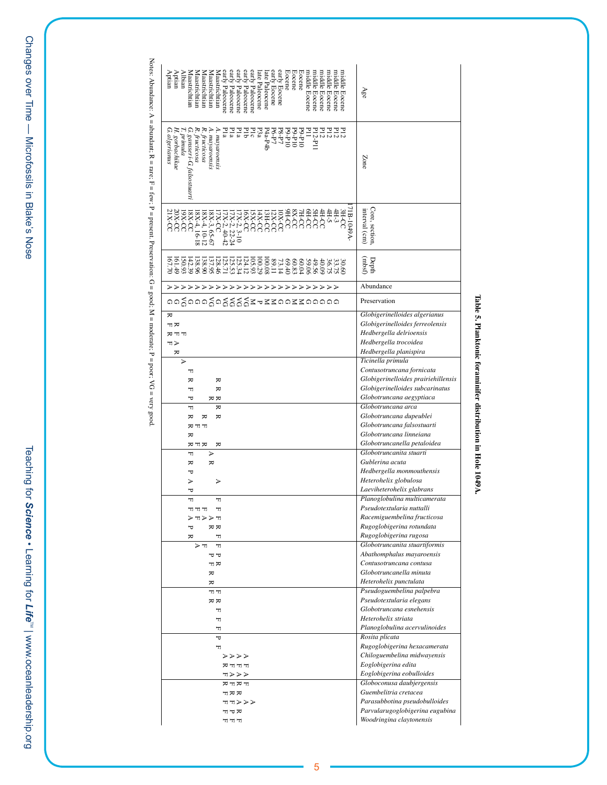Teaching for *Science* • Learning for Teaching for Science . Learning for Life<sup>rs</sup> | www.oceanleadership.org  $\Gamma$  hearing formulation on  ${\bf S}$  and  ${\bf S}$  and  ${\bf S}$  are  ${\bf S}$  . The summanism of  ${\bf S}$  is  ${\bf S}$  in  ${\bf S}$  and  ${\bf S}$  is  ${\bf S}$  is  ${\bf S}$  . Then  $\Gamma$  is  ${\bf S}$  is  ${\bf S}$  and  ${\bf S}$  and  ${\bf S}$  and  ${\bf S}$  is  ${\bf S}$  is

Notes: Abundance: A = abundant; R = rare; F = few; P = present. Preservation: G = good; M = moderate; P = poor; VG = very good. Notes: Abundance: A = abundant; R = rare; F = tew; P = present. Preservation: G = good; M = moderate; P = poor; VG = very good.

| Pla<br>Pla<br>Pla<br>E12<br>E12<br>E12<br>E12-P11<br>.≈<br>A. mayaroensis<br>A. mayaroensis<br>Pib<br>Plc<br>Р3а<br>P4a-P4b<br>ΞI<br>P6-P7<br>P8-P7<br>$01d - 6d$<br>$01d - 6d$<br>$01d - 6d$<br>fructicosa<br>Zone<br>71B-1049A-<br>interval (cm)<br>Core, section,<br>OCX8<br><b>SH-CC</b><br>7H-CC<br><b>HECC</b><br>4H-5<br>OCH6<br>4H-3<br>CCC<br>20X-CC<br>$D - X0$<br>21X.<br>19X-CC<br>$8X-4, 16-18$<br>I8X-4, 10-12<br><b>ISX-CC</b><br>14X-CC<br><b>GHCC</b><br>12X-CC<br>8X-3, 65-67<br>$O - X9$<br>7X-2, 3-10<br>7X-CC<br>$17X-2$ , $22-24$<br>$17X-2$ , 40-42<br>(rmbsf)<br>105.93<br>100.29<br>$0.53338$<br>$0.0000$<br>(61.49)<br>[50.93<br>142.39<br>138.90<br>137.95<br>125.34<br>124.12<br>Depth<br>138.96<br>128.46<br>L25.71<br>59.06<br>60.04<br>60.83<br>49.56<br>40.09<br>36.75<br>Abundance<br><b>&gt;&gt;&gt;&gt;&gt;&gt;&gt;&gt;&gt;&gt;&gt;&gt;&gt;&gt;&gt;&gt;&gt;&gt;&gt;&gt;&gt;&gt;&gt;&gt;&gt;&gt;&gt;</b><br>oogooogoggggzezzoozzooooo<br>Preservation<br>Globigerinelloides algerianus<br>₩<br>Globigerinelloides ferreolensis<br>뇌지<br>Hedbergella delrioensis<br>FFR<br>Hedbergella trocoidea<br>HΣ<br>Hedbergella planispira<br>≂<br>Ticinella primula<br>⋗<br>Contusotruncana fornicata<br>H<br>Globigerinelloides prairiehillensis<br>₩<br>₩<br>Globigerinelloides subcarinatus<br>₩<br>ᆔ<br>Globotruncana aegyptiaca<br>πĸ<br>᠊ᡆ<br>Globotruncana arca<br>H<br>≂<br>Globotruncana dupeublei<br>₩<br>₩<br>≂<br>Globotruncana falsostuarti<br>アヒス<br>Globotruncana linneiana<br>₩<br>Globotruncanella petaloidea<br>≂<br>ヌェヌ<br>Globotruncanita stuarti<br>H<br>⋗<br>Gublerina acuta<br>₩<br>₩<br>Hedbergella monmouthensis<br>ᇦ<br>Heterohelix globulosa<br>⋗<br>⋗<br>Laeviheterohelix glabrans<br>᠊ᡆ<br>Planoglobulina multicamerata<br>H<br>H<br>Pseudotextularia nuttalli<br>뇌피피<br>H<br>Racemiguembelina fructicosa<br>アムスドム<br>Rugoglobigerina rotundata<br>$\stackrel{\scriptstyle{\text{H}}}{\scriptstyle{\text{K}}}$<br>Α<br>Rugoglobigerina rugosa<br>₩<br>H<br>Globotruncanita stuartiformis<br>π≺<br>H<br>Abathomphalus mayaroensis<br>ヤヤ<br>Contusotruncana contusa<br>ᆔ<br>Globotruncanella minuta<br>₩<br>Heterohelix punctulata<br>≂<br>Pseudoguembelina palpebra<br>ת ה<br>Pseudotextularia elegans<br>$\overline{\kappa}$<br>Globotruncana esnehensis<br>H<br>Heterohelix striata<br>H<br>Planoglobulina acervulinoides<br>H<br>Rosita plicata<br>Δ<br>Rugoglobigerina hexacamerata<br>H<br>Chiloguembelina midwayensis<br>マブブブ<br>Eoglobigerina edita<br>הנהב<br>Eoglobigerina eobulloides<br>エブタブ<br>Globoconusa daubjergensis<br>カロカロ<br>Guembelitria cretacea<br>エヌヌ<br>Parasubbotina pseudobulloides<br>ユコママア<br>Parvularugoglobigerina eugubina<br>ヒアド | Aptran<br>Aptian<br><b>Albian</b><br>Maastrichtian<br>early Eocene<br>Eocene<br>Eocene<br>Eocene<br>niddle Eocene<br>Maastrichtian<br>sarly Paleocene<br>sarly Paleocene<br>early Paleocene<br>sarly Paleocene<br>erly Eocene<br>niddle Eocene<br>niddle Eocene<br>niddle Eocene<br>niddle Eocene<br>niddle Eocene<br>Maastrichtian<br>Maastrichtian<br>Maastrichtian<br>arly Paleocene<br>ate Paleocene<br>ate Paleocene | Age                      |
|----------------------------------------------------------------------------------------------------------------------------------------------------------------------------------------------------------------------------------------------------------------------------------------------------------------------------------------------------------------------------------------------------------------------------------------------------------------------------------------------------------------------------------------------------------------------------------------------------------------------------------------------------------------------------------------------------------------------------------------------------------------------------------------------------------------------------------------------------------------------------------------------------------------------------------------------------------------------------------------------------------------------------------------------------------------------------------------------------------------------------------------------------------------------------------------------------------------------------------------------------------------------------------------------------------------------------------------------------------------------------------------------------------------------------------------------------------------------------------------------------------------------------------------------------------------------------------------------------------------------------------------------------------------------------------------------------------------------------------------------------------------------------------------------------------------------------------------------------------------------------------------------------------------------------------------------------------------------------------------------------------------------------------------------------------------------------------------------------------------------------------------------------------------------------------------------------------------------------------------------------------------------------------------------------------------------------------------------------------------------------------------------------------------------------------------------------------------------------------------------------------------------------------------------------------------------------------------------------------------------------------------------------------------------------------------------------------------------|---------------------------------------------------------------------------------------------------------------------------------------------------------------------------------------------------------------------------------------------------------------------------------------------------------------------------------------------------------------------------------------------------------------------------|--------------------------|
|                                                                                                                                                                                                                                                                                                                                                                                                                                                                                                                                                                                                                                                                                                                                                                                                                                                                                                                                                                                                                                                                                                                                                                                                                                                                                                                                                                                                                                                                                                                                                                                                                                                                                                                                                                                                                                                                                                                                                                                                                                                                                                                                                                                                                                                                                                                                                                                                                                                                                                                                                                                                                                                                                                                      | R. fructicosa<br>  C. gansseri-G. falsosnurti<br>  H. grmadnikae<br>  G. algerianus                                                                                                                                                                                                                                                                                                                                       |                          |
|                                                                                                                                                                                                                                                                                                                                                                                                                                                                                                                                                                                                                                                                                                                                                                                                                                                                                                                                                                                                                                                                                                                                                                                                                                                                                                                                                                                                                                                                                                                                                                                                                                                                                                                                                                                                                                                                                                                                                                                                                                                                                                                                                                                                                                                                                                                                                                                                                                                                                                                                                                                                                                                                                                                      |                                                                                                                                                                                                                                                                                                                                                                                                                           |                          |
|                                                                                                                                                                                                                                                                                                                                                                                                                                                                                                                                                                                                                                                                                                                                                                                                                                                                                                                                                                                                                                                                                                                                                                                                                                                                                                                                                                                                                                                                                                                                                                                                                                                                                                                                                                                                                                                                                                                                                                                                                                                                                                                                                                                                                                                                                                                                                                                                                                                                                                                                                                                                                                                                                                                      |                                                                                                                                                                                                                                                                                                                                                                                                                           |                          |
|                                                                                                                                                                                                                                                                                                                                                                                                                                                                                                                                                                                                                                                                                                                                                                                                                                                                                                                                                                                                                                                                                                                                                                                                                                                                                                                                                                                                                                                                                                                                                                                                                                                                                                                                                                                                                                                                                                                                                                                                                                                                                                                                                                                                                                                                                                                                                                                                                                                                                                                                                                                                                                                                                                                      |                                                                                                                                                                                                                                                                                                                                                                                                                           |                          |
|                                                                                                                                                                                                                                                                                                                                                                                                                                                                                                                                                                                                                                                                                                                                                                                                                                                                                                                                                                                                                                                                                                                                                                                                                                                                                                                                                                                                                                                                                                                                                                                                                                                                                                                                                                                                                                                                                                                                                                                                                                                                                                                                                                                                                                                                                                                                                                                                                                                                                                                                                                                                                                                                                                                      |                                                                                                                                                                                                                                                                                                                                                                                                                           |                          |
|                                                                                                                                                                                                                                                                                                                                                                                                                                                                                                                                                                                                                                                                                                                                                                                                                                                                                                                                                                                                                                                                                                                                                                                                                                                                                                                                                                                                                                                                                                                                                                                                                                                                                                                                                                                                                                                                                                                                                                                                                                                                                                                                                                                                                                                                                                                                                                                                                                                                                                                                                                                                                                                                                                                      |                                                                                                                                                                                                                                                                                                                                                                                                                           |                          |
|                                                                                                                                                                                                                                                                                                                                                                                                                                                                                                                                                                                                                                                                                                                                                                                                                                                                                                                                                                                                                                                                                                                                                                                                                                                                                                                                                                                                                                                                                                                                                                                                                                                                                                                                                                                                                                                                                                                                                                                                                                                                                                                                                                                                                                                                                                                                                                                                                                                                                                                                                                                                                                                                                                                      |                                                                                                                                                                                                                                                                                                                                                                                                                           |                          |
|                                                                                                                                                                                                                                                                                                                                                                                                                                                                                                                                                                                                                                                                                                                                                                                                                                                                                                                                                                                                                                                                                                                                                                                                                                                                                                                                                                                                                                                                                                                                                                                                                                                                                                                                                                                                                                                                                                                                                                                                                                                                                                                                                                                                                                                                                                                                                                                                                                                                                                                                                                                                                                                                                                                      |                                                                                                                                                                                                                                                                                                                                                                                                                           |                          |
|                                                                                                                                                                                                                                                                                                                                                                                                                                                                                                                                                                                                                                                                                                                                                                                                                                                                                                                                                                                                                                                                                                                                                                                                                                                                                                                                                                                                                                                                                                                                                                                                                                                                                                                                                                                                                                                                                                                                                                                                                                                                                                                                                                                                                                                                                                                                                                                                                                                                                                                                                                                                                                                                                                                      |                                                                                                                                                                                                                                                                                                                                                                                                                           |                          |
|                                                                                                                                                                                                                                                                                                                                                                                                                                                                                                                                                                                                                                                                                                                                                                                                                                                                                                                                                                                                                                                                                                                                                                                                                                                                                                                                                                                                                                                                                                                                                                                                                                                                                                                                                                                                                                                                                                                                                                                                                                                                                                                                                                                                                                                                                                                                                                                                                                                                                                                                                                                                                                                                                                                      |                                                                                                                                                                                                                                                                                                                                                                                                                           |                          |
|                                                                                                                                                                                                                                                                                                                                                                                                                                                                                                                                                                                                                                                                                                                                                                                                                                                                                                                                                                                                                                                                                                                                                                                                                                                                                                                                                                                                                                                                                                                                                                                                                                                                                                                                                                                                                                                                                                                                                                                                                                                                                                                                                                                                                                                                                                                                                                                                                                                                                                                                                                                                                                                                                                                      |                                                                                                                                                                                                                                                                                                                                                                                                                           |                          |
|                                                                                                                                                                                                                                                                                                                                                                                                                                                                                                                                                                                                                                                                                                                                                                                                                                                                                                                                                                                                                                                                                                                                                                                                                                                                                                                                                                                                                                                                                                                                                                                                                                                                                                                                                                                                                                                                                                                                                                                                                                                                                                                                                                                                                                                                                                                                                                                                                                                                                                                                                                                                                                                                                                                      |                                                                                                                                                                                                                                                                                                                                                                                                                           |                          |
|                                                                                                                                                                                                                                                                                                                                                                                                                                                                                                                                                                                                                                                                                                                                                                                                                                                                                                                                                                                                                                                                                                                                                                                                                                                                                                                                                                                                                                                                                                                                                                                                                                                                                                                                                                                                                                                                                                                                                                                                                                                                                                                                                                                                                                                                                                                                                                                                                                                                                                                                                                                                                                                                                                                      |                                                                                                                                                                                                                                                                                                                                                                                                                           |                          |
|                                                                                                                                                                                                                                                                                                                                                                                                                                                                                                                                                                                                                                                                                                                                                                                                                                                                                                                                                                                                                                                                                                                                                                                                                                                                                                                                                                                                                                                                                                                                                                                                                                                                                                                                                                                                                                                                                                                                                                                                                                                                                                                                                                                                                                                                                                                                                                                                                                                                                                                                                                                                                                                                                                                      |                                                                                                                                                                                                                                                                                                                                                                                                                           |                          |
|                                                                                                                                                                                                                                                                                                                                                                                                                                                                                                                                                                                                                                                                                                                                                                                                                                                                                                                                                                                                                                                                                                                                                                                                                                                                                                                                                                                                                                                                                                                                                                                                                                                                                                                                                                                                                                                                                                                                                                                                                                                                                                                                                                                                                                                                                                                                                                                                                                                                                                                                                                                                                                                                                                                      |                                                                                                                                                                                                                                                                                                                                                                                                                           |                          |
|                                                                                                                                                                                                                                                                                                                                                                                                                                                                                                                                                                                                                                                                                                                                                                                                                                                                                                                                                                                                                                                                                                                                                                                                                                                                                                                                                                                                                                                                                                                                                                                                                                                                                                                                                                                                                                                                                                                                                                                                                                                                                                                                                                                                                                                                                                                                                                                                                                                                                                                                                                                                                                                                                                                      |                                                                                                                                                                                                                                                                                                                                                                                                                           |                          |
|                                                                                                                                                                                                                                                                                                                                                                                                                                                                                                                                                                                                                                                                                                                                                                                                                                                                                                                                                                                                                                                                                                                                                                                                                                                                                                                                                                                                                                                                                                                                                                                                                                                                                                                                                                                                                                                                                                                                                                                                                                                                                                                                                                                                                                                                                                                                                                                                                                                                                                                                                                                                                                                                                                                      |                                                                                                                                                                                                                                                                                                                                                                                                                           |                          |
|                                                                                                                                                                                                                                                                                                                                                                                                                                                                                                                                                                                                                                                                                                                                                                                                                                                                                                                                                                                                                                                                                                                                                                                                                                                                                                                                                                                                                                                                                                                                                                                                                                                                                                                                                                                                                                                                                                                                                                                                                                                                                                                                                                                                                                                                                                                                                                                                                                                                                                                                                                                                                                                                                                                      |                                                                                                                                                                                                                                                                                                                                                                                                                           |                          |
|                                                                                                                                                                                                                                                                                                                                                                                                                                                                                                                                                                                                                                                                                                                                                                                                                                                                                                                                                                                                                                                                                                                                                                                                                                                                                                                                                                                                                                                                                                                                                                                                                                                                                                                                                                                                                                                                                                                                                                                                                                                                                                                                                                                                                                                                                                                                                                                                                                                                                                                                                                                                                                                                                                                      |                                                                                                                                                                                                                                                                                                                                                                                                                           |                          |
|                                                                                                                                                                                                                                                                                                                                                                                                                                                                                                                                                                                                                                                                                                                                                                                                                                                                                                                                                                                                                                                                                                                                                                                                                                                                                                                                                                                                                                                                                                                                                                                                                                                                                                                                                                                                                                                                                                                                                                                                                                                                                                                                                                                                                                                                                                                                                                                                                                                                                                                                                                                                                                                                                                                      |                                                                                                                                                                                                                                                                                                                                                                                                                           |                          |
|                                                                                                                                                                                                                                                                                                                                                                                                                                                                                                                                                                                                                                                                                                                                                                                                                                                                                                                                                                                                                                                                                                                                                                                                                                                                                                                                                                                                                                                                                                                                                                                                                                                                                                                                                                                                                                                                                                                                                                                                                                                                                                                                                                                                                                                                                                                                                                                                                                                                                                                                                                                                                                                                                                                      |                                                                                                                                                                                                                                                                                                                                                                                                                           |                          |
|                                                                                                                                                                                                                                                                                                                                                                                                                                                                                                                                                                                                                                                                                                                                                                                                                                                                                                                                                                                                                                                                                                                                                                                                                                                                                                                                                                                                                                                                                                                                                                                                                                                                                                                                                                                                                                                                                                                                                                                                                                                                                                                                                                                                                                                                                                                                                                                                                                                                                                                                                                                                                                                                                                                      |                                                                                                                                                                                                                                                                                                                                                                                                                           |                          |
|                                                                                                                                                                                                                                                                                                                                                                                                                                                                                                                                                                                                                                                                                                                                                                                                                                                                                                                                                                                                                                                                                                                                                                                                                                                                                                                                                                                                                                                                                                                                                                                                                                                                                                                                                                                                                                                                                                                                                                                                                                                                                                                                                                                                                                                                                                                                                                                                                                                                                                                                                                                                                                                                                                                      |                                                                                                                                                                                                                                                                                                                                                                                                                           |                          |
|                                                                                                                                                                                                                                                                                                                                                                                                                                                                                                                                                                                                                                                                                                                                                                                                                                                                                                                                                                                                                                                                                                                                                                                                                                                                                                                                                                                                                                                                                                                                                                                                                                                                                                                                                                                                                                                                                                                                                                                                                                                                                                                                                                                                                                                                                                                                                                                                                                                                                                                                                                                                                                                                                                                      |                                                                                                                                                                                                                                                                                                                                                                                                                           |                          |
|                                                                                                                                                                                                                                                                                                                                                                                                                                                                                                                                                                                                                                                                                                                                                                                                                                                                                                                                                                                                                                                                                                                                                                                                                                                                                                                                                                                                                                                                                                                                                                                                                                                                                                                                                                                                                                                                                                                                                                                                                                                                                                                                                                                                                                                                                                                                                                                                                                                                                                                                                                                                                                                                                                                      | ת ה                                                                                                                                                                                                                                                                                                                                                                                                                       | Woodringina claytonensis |

# Table 5. Planktonic foraminifer distribution in Hole 1049A. **Table 5. Planktonic foraminifer distribution in Hole 1049A.**